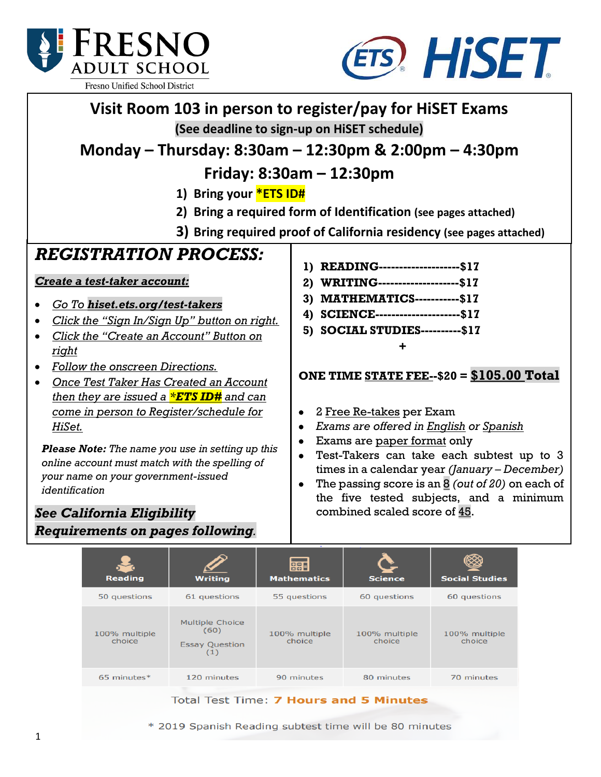

Fresno Unified School District



| Visit Room 103 in person to register/pay for HiSET Exams<br>(See deadline to sign-up on HiSET schedule)<br>Monday – Thursday: 8:30am – 12:30pm & 2:00pm – 4:30pm<br>Friday: $8:30am - 12:30pm$<br>1) Bring your <b>*ETS ID#</b><br>Bring a required form of Identification (see pages attached)<br>3) Bring required proof of California residency (see pages attached)                                                                                                                                                                                                                                                                             |                                                                                                                                                                                                                                                                                                                                                                                                                                                                                                                                                                                                             |  |  |  |  |
|-----------------------------------------------------------------------------------------------------------------------------------------------------------------------------------------------------------------------------------------------------------------------------------------------------------------------------------------------------------------------------------------------------------------------------------------------------------------------------------------------------------------------------------------------------------------------------------------------------------------------------------------------------|-------------------------------------------------------------------------------------------------------------------------------------------------------------------------------------------------------------------------------------------------------------------------------------------------------------------------------------------------------------------------------------------------------------------------------------------------------------------------------------------------------------------------------------------------------------------------------------------------------------|--|--|--|--|
| <b>REGISTRATION PROCESS:</b><br>Create a test-taker account:<br>Go To hiset.ets.org/test-takers<br>Click the "Sign In/Sign Up" button on right.<br>Click the "Create an Account" Button on<br><u>right</u><br>Follow the onscreen Directions.<br>Once Test Taker Has Created an Account<br>$\bullet$<br>then they are issued a <b>*ETS ID#</b> and can<br>come in person to Register/schedule for<br>HiSet.<br>Please Note: The name you use in setting up this<br>online account must match with the spelling of<br>your name on your government-issued<br>identification<br>See California Eligibility<br><b>Requirements on pages following.</b> | 1) READING--------------------\$17<br>2) WRITING--------------------\$17<br>3) MATHEMATICS-----------\$17<br>4) SCIENCE----------------------\$17<br>5) SOCIAL STUDIES----------\$17<br>ONE TIME STATE FEE--\$20 = $$105.00$ Total<br>2 Free Re-takes per Exam<br>Exams are offered in English or Spanish<br>$\bullet$<br>Exams are paper format only<br>Test-Takers can take each subtest up to 3<br>$\bullet$<br>times in a calendar year (January – December)<br>The passing score is an $\frac{8}{2}$ (out of 20) on each of<br>the five tested subjects, and a minimum<br>combined scaled score of 45. |  |  |  |  |

| <b>Reading</b>          | <b>Writing</b>                                                 | $\overline{\phantom{a}}$<br>BBE<br><b>Mathematics</b> | <b>Science</b>          | <b>Social Studies</b>   |
|-------------------------|----------------------------------------------------------------|-------------------------------------------------------|-------------------------|-------------------------|
| 50 questions            | 61 questions                                                   | 55 questions                                          | 60 questions            | 60 questions            |
| 100% multiple<br>choice | <b>Multiple Choice</b><br>(60)<br><b>Essay Question</b><br>(1) | 100% multiple<br>choice                               | 100% multiple<br>choice | 100% multiple<br>choice |
| $65$ minutes $*$        | 120 minutes                                                    | 90 minutes                                            | 80 minutes              | 70 minutes              |
|                         |                                                                |                                                       |                         |                         |

Total Test Time: 7 Hours and 5 Minutes

\* 2019 Spanish Reading subtest time will be 80 minutes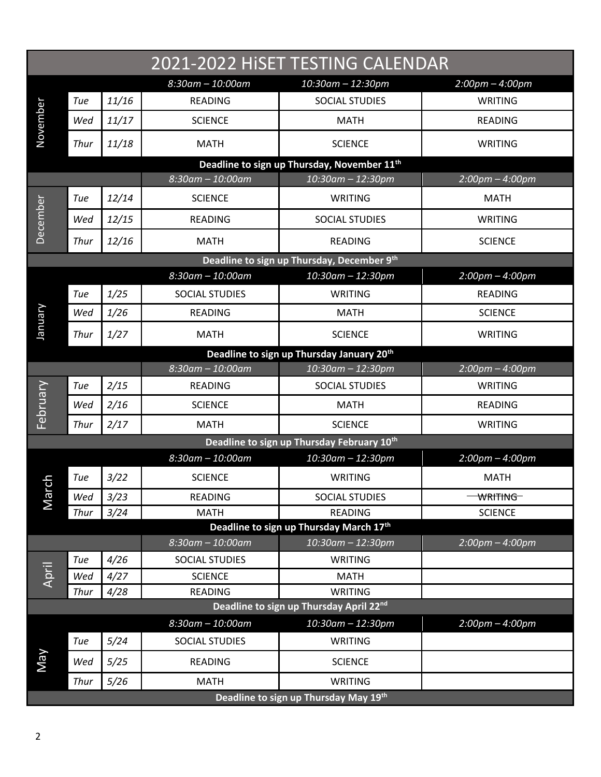|                                                               | 2021-2022 HISET TESTING CALENDAR |       |                        |                                                       |                      |  |  |  |  |
|---------------------------------------------------------------|----------------------------------|-------|------------------------|-------------------------------------------------------|----------------------|--|--|--|--|
|                                                               |                                  |       | $8:30$ am $- 10:00$ am | 10:30am - 12:30pm                                     | $2:00$ pm $-4:00$ pm |  |  |  |  |
| November                                                      | Tue                              | 11/16 | <b>READING</b>         | <b>SOCIAL STUDIES</b>                                 | WRITING              |  |  |  |  |
|                                                               | Wed                              | 11/17 | <b>SCIENCE</b>         | <b>MATH</b>                                           | <b>READING</b>       |  |  |  |  |
|                                                               | Thur                             | 11/18 | <b>MATH</b>            | <b>SCIENCE</b>                                        | <b>WRITING</b>       |  |  |  |  |
| Deadline to sign up Thursday, November 11 <sup>th</sup>       |                                  |       |                        |                                                       |                      |  |  |  |  |
| December                                                      |                                  |       | $8:30$ am - 10:00am    | 10:30am - 12:30pm                                     | $2:00$ pm $-4:00$ pm |  |  |  |  |
|                                                               | Tue                              | 12/14 | <b>SCIENCE</b>         | <b>WRITING</b>                                        | <b>MATH</b>          |  |  |  |  |
|                                                               | Wed                              | 12/15 | <b>READING</b>         | <b>SOCIAL STUDIES</b>                                 | WRITING              |  |  |  |  |
|                                                               | Thur                             | 12/16 | <b>MATH</b>            | <b>READING</b>                                        | <b>SCIENCE</b>       |  |  |  |  |
| Deadline to sign up Thursday, December 9th                    |                                  |       |                        |                                                       |                      |  |  |  |  |
|                                                               |                                  |       | 8:30am - 10:00am       | 10:30am - 12:30pm                                     | $2:00$ pm $-4:00$ pm |  |  |  |  |
|                                                               | Tue                              | 1/25  | <b>SOCIAL STUDIES</b>  | <b>WRITING</b>                                        | <b>READING</b>       |  |  |  |  |
| Vienuer                                                       | Wed                              | 1/26  | <b>READING</b>         | <b>MATH</b>                                           | <b>SCIENCE</b>       |  |  |  |  |
|                                                               | Thur                             | 1/27  | <b>MATH</b>            | <b>SCIENCE</b>                                        | <b>WRITING</b>       |  |  |  |  |
|                                                               |                                  |       |                        | Deadline to sign up Thursday January 20 <sup>th</sup> |                      |  |  |  |  |
|                                                               |                                  |       | 8:30am - 10:00am       | 10:30am - 12:30pm                                     | $2:00$ pm $-4:00$ pm |  |  |  |  |
|                                                               | Tue                              | 2/15  | <b>READING</b>         | SOCIAL STUDIES                                        | <b>WRITING</b>       |  |  |  |  |
| February                                                      | Wed                              | 2/16  | <b>SCIENCE</b>         | <b>MATH</b>                                           | <b>READING</b>       |  |  |  |  |
|                                                               | Thur                             | 2/17  | <b>MATH</b>            | <b>SCIENCE</b>                                        | <b>WRITING</b>       |  |  |  |  |
| Deadline to sign up Thursday February 10 <sup>th</sup>        |                                  |       |                        |                                                       |                      |  |  |  |  |
|                                                               |                                  |       | $8:30$ am - 10:00am    | 10:30am - 12:30pm                                     | $2:00$ pm $-4:00$ pm |  |  |  |  |
| ЪЪ                                                            | Tue                              | 3/22  | <b>SCIENCE</b>         | <b>WRITING</b>                                        | <b>MATH</b>          |  |  |  |  |
| <b>IeM</b>                                                    | Wed                              | 3/23  | <b>READING</b>         | SOCIAL STUDIES                                        | <b>WRITING</b>       |  |  |  |  |
|                                                               | Thur                             | 3/24  | <b>MATH</b>            | <b>READING</b>                                        | <b>SCIENCE</b>       |  |  |  |  |
| Deadline to sign up Thursday March 17th                       |                                  |       |                        |                                                       |                      |  |  |  |  |
|                                                               |                                  |       | 8:30am - 10:00am       | 10:30am - 12:30pm                                     | $2:00$ pm $-4:00$ pm |  |  |  |  |
|                                                               | Tue                              | 4/26  | SOCIAL STUDIES         | <b>WRITING</b>                                        |                      |  |  |  |  |
| April                                                         | Wed                              | 4/27  | <b>SCIENCE</b>         | <b>MATH</b><br><b>WRITING</b>                         |                      |  |  |  |  |
|                                                               | Thur                             | 4/28  | <b>READING</b>         | Deadline to sign up Thursday April 22nd               |                      |  |  |  |  |
| 8:30am - 10:00am<br>$2:00$ pm $-4:00$ pm<br>10:30am - 12:30pm |                                  |       |                        |                                                       |                      |  |  |  |  |
| VeM                                                           | Tue                              | 5/24  | SOCIAL STUDIES         | <b>WRITING</b>                                        |                      |  |  |  |  |
|                                                               | Wed                              | 5/25  | <b>READING</b>         | <b>SCIENCE</b>                                        |                      |  |  |  |  |
|                                                               | Thur                             | 5/26  | <b>MATH</b>            | <b>WRITING</b>                                        |                      |  |  |  |  |
| Deadline to sign up Thursday May 19th                         |                                  |       |                        |                                                       |                      |  |  |  |  |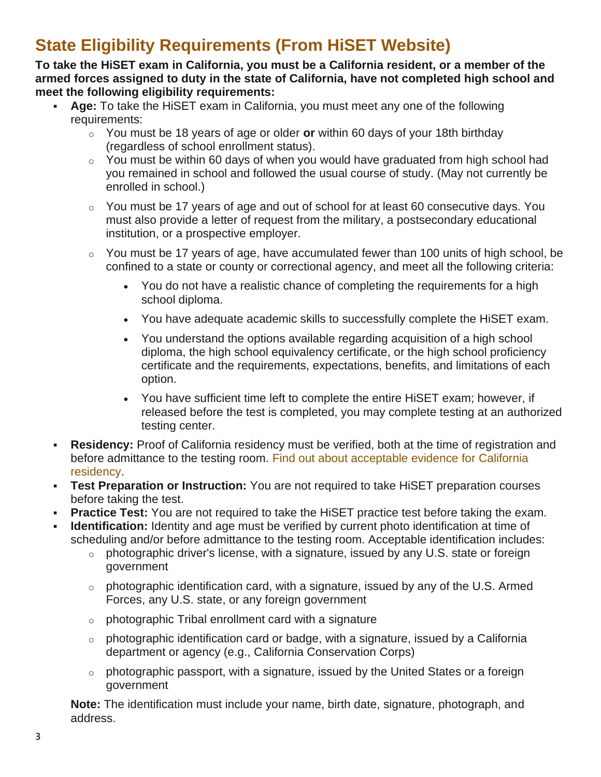## **State Eligibility Requirements (From HiSET Website)**

**To take the HiSET exam in California, you must be a California resident, or a member of the armed forces assigned to duty in the state of California, have not completed high school and meet the following eligibility requirements:**

- Age: To take the HiSET exam in California, you must meet any one of the following requirements:
	- o You must be 18 years of age or older **or** within 60 days of your 18th birthday (regardless of school enrollment status).
	- $\circ$  You must be within 60 days of when you would have graduated from high school had you remained in school and followed the usual course of study. (May not currently be enrolled in school.)
	- $\circ$  You must be 17 years of age and out of school for at least 60 consecutive days. You must also provide a letter of request from the military, a postsecondary educational institution, or a prospective employer.
	- $\circ$  You must be 17 years of age, have accumulated fewer than 100 units of high school, be confined to a state or county or correctional agency, and meet all the following criteria:
		- You do not have a realistic chance of completing the requirements for a high school diploma.
		- You have adequate academic skills to successfully complete the HiSET exam.
		- You understand the options available regarding acquisition of a high school diploma, the high school equivalency certificate, or the high school proficiency certificate and the requirements, expectations, benefits, and limitations of each option.
		- You have sufficient time left to complete the entire HiSET exam; however, if released before the test is completed, you may complete testing at an authorized testing center.
- **Residency:** Proof of California residency must be verified, both at the time of registration and before admittance to the testing room. Find out about acceptable evidence for California residency.
- **Test Preparation or Instruction:** You are not required to take HiSET preparation courses before taking the test.
- **Practice Test:** You are not required to take the HiSET practice test before taking the exam.
- **Identification:** Identity and age must be verified by current photo identification at time of scheduling and/or before admittance to the testing room. Acceptable identification includes:
	- $\circ$  photographic driver's license, with a signature, issued by any U.S. state or foreign government
	- $\circ$  photographic identification card, with a signature, issued by any of the U.S. Armed Forces, any U.S. state, or any foreign government
	- $\circ$  photographic Tribal enrollment card with a signature
	- $\circ$  photographic identification card or badge, with a signature, issued by a California department or agency (e.g., California Conservation Corps)
	- $\circ$  photographic passport, with a signature, issued by the United States or a foreign government

**Note:** The identification must include your name, birth date, signature, photograph, and address.